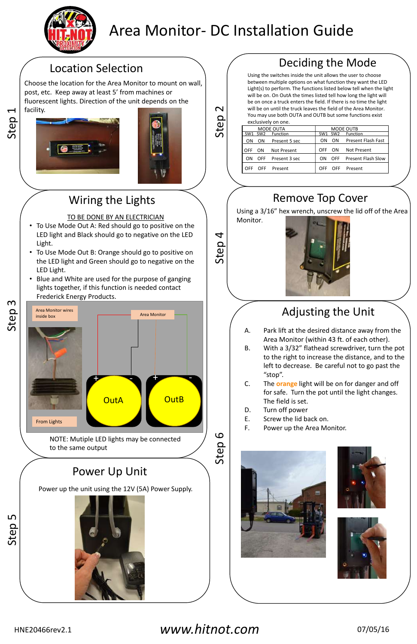Using a 3/16" hex wrench, unscrew the lid off of the Area Monitor.



Step 2

Step 3

Step 4



# Area Monitor- DC Installation Guide

Choose the location for the Area Monitor to mount on wall, post, etc. Keep away at least 5' from machines or fluorescent lights. Direction of the unit depends on the facility.





- TO BE DONE BY AN ELECTRICIAN
- To Use Mode Out A: Red should go to positive on the LED light and Black should go to negative on the LED Light.
- To Use Mode Out B: Orange should go to positive on the LED light and Green should go to negative on the LED Light.
- Blue and White are used for the purpose of ganging lights together, if this function is needed contact Frederick Energy Products.



- A. Park lift at the desired distance away from the Area Monitor (within 43 ft. of each other).
- B. With a 3/32" flathead screwdriver, turn the pot to the right to increase the distance, and to the left to decrease. Be careful not to go past the "stop".
- C. The **orange** light will be on for danger and off for safe. Turn the pot until the light changes. The field is set.
- D. Turn off power
- E. Screw the lid back on.
- F. Power up the Area Monitor.



Power up the unit using the 12V (5A) Power Supply.

### *www.hitnot.com*

## Wiring the Lights

# Adjusting the Unit

## Remove Top Cover



HNE20466rev2.1

| MODE OUTA                          |                   | MODE OUTB       |                 |                    |
|------------------------------------|-------------------|-----------------|-----------------|--------------------|
| SW <sub>2</sub><br>SW <sub>1</sub> | Function          | SW <sub>1</sub> | SW <sub>2</sub> | Function           |
| OΝ<br>ON                           | Present 5 sec     | OΝ              | ON              | Present Flash Fast |
| OFF<br>ΩN                          | Not Present       | OFF             | ON.             | <b>Not Present</b> |
| ΩN                                 | OFF Present 3 sec | ON.             | <b>OFF</b>      | Present Flash Slow |
| OFF<br>OFF.                        | Present           | OFF             | OFF.            | Present            |
|                                    |                   |                 |                 |                    |



# Location Selection  $\bigcap$  / Deciding the Mode

Using the switches inside the unit allows the user to choose between multiple options on what function they want the LED Light(s) to perform. The functions listed below tell when the light will be on. On OutA the times listed tell how long the light will be on once a truck enters the field. If there is no time the light will be on until the truck leaves the field of the Area Monitor. You may use both OUTA and OUTB but some functions exist exclusively on one.